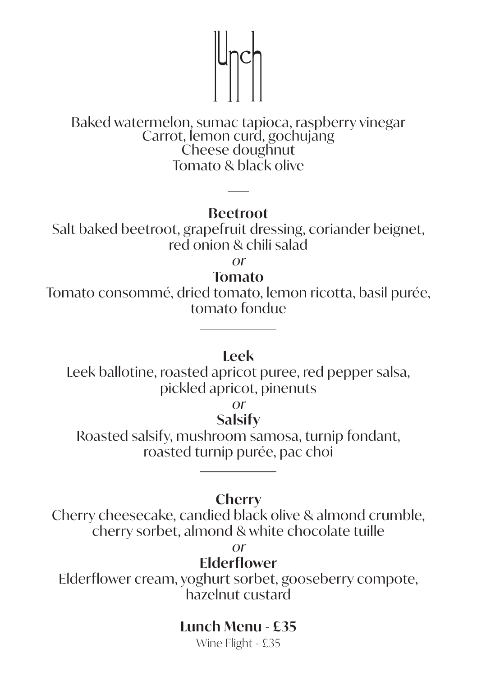# $\mathbb{Z}$

# Baked watermelon, sumac tapioca, raspberry vinegar Carrot, lemon curd, gochujang Cheese doughnut Tomato & black olive

#### **Beetroot**

Salt baked beetroot, grapefruit dressing, coriander beignet, red onion & chili salad

or

#### **Tomato**

Tomato consommé, dried tomato, lemon ricotta, basil purée, tomato fondue

#### **Leek**

Leek ballotine, roasted apricot puree, red pepper salsa, pickled apricot, pinenuts

or

## **Salsify**

Roasted salsify, mushroom samosa, turnip fondant, roasted turnip purée, pac choi

#### **Cherry**

Cherry cheesecake, candied black olive & almond crumble, cherry sorbet, almond & white chocolate tuille

or

### **Elderflower**

Elderflower cream, yoghurt sorbet, gooseberry compote, hazelnut custard

# **Lunch Menu - £35**

Wine Flight - £35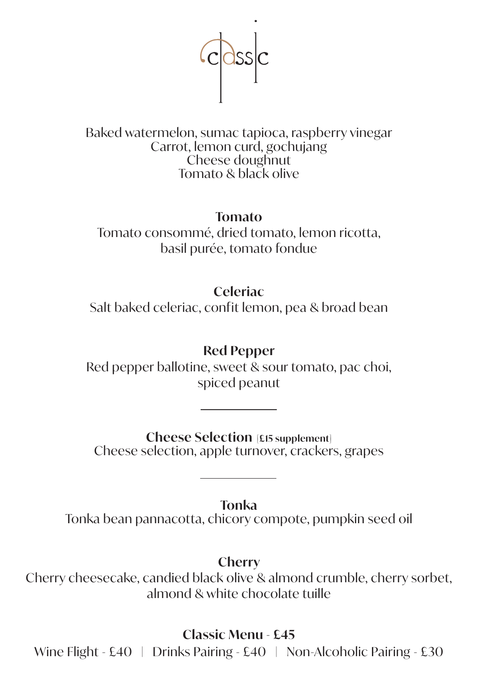

Baked watermelon, sumac tapioca, raspberry vinegar Carrot, lemon curd, gochujang Cheese doughnut Tomato & black olive

#### **Tomato**

Tomato consommé, dried tomato, lemon ricotta, basil purée, tomato fondue

# **Celeriac**

Salt baked celeriac, confit lemon, pea & broad bean

## **Red Pepper**

Red pepper ballotine, sweet & sour tomato, pac choi, spiced peanut

**Cheese Selection [£15 supplement]** Cheese selection, apple turnover, crackers, grapes

**Tonka**

Tonka bean pannacotta, chicory compote, pumpkin seed oil

**Cherry**

Cherry cheesecake, candied black olive & almond crumble, cherry sorbet, almond & white chocolate tuille

**Classic Menu - £45**

Wine Flight - £40 | Drinks Pairing - £40 | Non-Alcoholic Pairing - £30